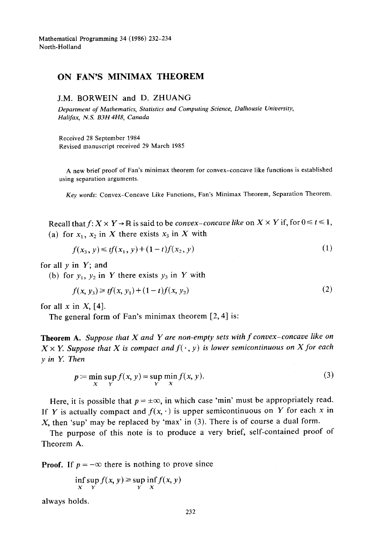Mathematical Programming 34 (1986) 232-234 North-Holland

## **ON FAN'S MINIMAX THEOREM**

## J.M. BORWEIN and D. ZHUANG

*Department of Mathematics, Statistics and Computing Science, Dalhousie University, Halifax, N.S. B3H 4H8, Canada* 

Received 28 September 1984 Revised manuscript received 29 March 1985

A new brief proof of Fan's minimax theorem for convex-concave like functions is established using separation arguments,

*Key words:* Convex-Concave Like Functions, Fan's Minimax Theorem, Separation Theorem.

Recall that  $f: X \times Y \to \mathbb{R}$  is said to be *convex-concave like* on  $X \times Y$  if, for  $0 \le t \le 1$ , (a) for  $x_1$ ,  $x_2$  in X there exists  $x_3$  in X with

$$
f(x_3, y) \le tf(x_1, y) + (1 - t)f(x_2, y) \tag{1}
$$

for all  $y$  in  $Y$ ; and

(b) for  $y_1$ ,  $y_2$  in Y there exists  $y_3$  in Y with

$$
f(x, y_3) \geq tf(x, y_1) + (1 - t)f(x, y_2)
$$
 (2)

for all x in  $X$ , [4].

The general form of Fan's minimax theorem [2, 4] is:

Theorem A. *Suppose that X and Y are non-empty sets with f convex-concave like on*   $X \times Y$ . Suppose that X is compact and  $f(\cdot, y)$  is lower semicontinuous on X for each *y in Y. Then* 

$$
p := \min_{X} \sup_{Y} f(x, y) = \sup_{Y} \min_{X} f(x, y). \tag{3}
$$

Here, it is possible that  $p = \pm \infty$ , in which case 'min' must be appropriately read. If Y is actually compact and  $f(x, \cdot)$  is upper semicontinuous on Y for each x in X, then 'sup' may be replaced by 'max' in  $(3)$ . There is of course a dual form.

The purpose of this note is to produce a very brief, self-contained proof of Theorem A.

**Proof.** If  $p = -\infty$  there is nothing to prove since

$$
\inf_{X} \sup_{Y} f(x, y) \ge \sup_{Y} \inf_{X} f(x, y)
$$

always holds.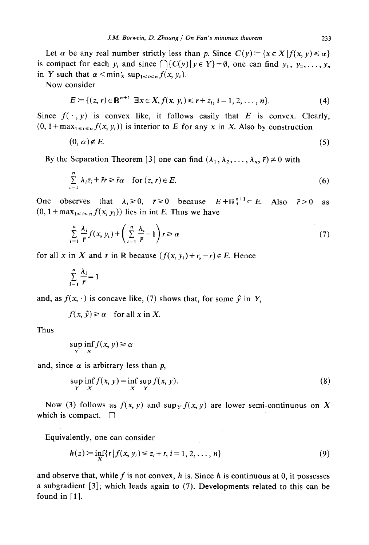Let  $\alpha$  be any real number strictly less than p. Since  $C(y) = \{x \in X | f(x, y) \leq \alpha\}$ is compact for each y, and since  $\bigcap \{C(y)|y \in Y\} = \emptyset$ , one can find  $y_1, y_2,..., y_n$ in Y such that  $\alpha < \min_X \sup_{1 \le i \le n} f(x, y_i)$ .

Now consider

$$
E = \{(z, r) \in \mathbb{R}^{n+1} | \exists x \in X, f(x, y_i) \leq r + z_i, i = 1, 2, ..., n\}.
$$
 (4)

Since  $f(\cdot, y)$  is convex like, it follows easily that E is convex. Clearly,  $(0, 1 + \max_{1 \le i \le n} f(x, y_i))$  is interior to E for any x in X. Also by construction

$$
(0, \alpha) \notin E. \tag{5}
$$

By the Separation Theorem [3] one can find  $(\lambda_1, \lambda_2, \dots, \lambda_n, \bar{r}) \neq 0$  with

$$
\sum_{i=1}^{n} \lambda_i z_i + \bar{r}r \geq \bar{r}\alpha \quad \text{for } (z, r) \in E. \tag{6}
$$

One observes that  $\lambda_i \ge 0$ ,  $\bar{r} \ge 0$  because  $E + \mathbb{R}^{n+1}_{+} \subset E$ . Also  $\bar{r} > 0$  as  $(0, 1 + \max_{1 \le i \le n} f(x, y_i))$  lies in int E. Thus we have

$$
\sum_{i=1}^{n} \frac{\lambda_i}{\bar{r}} f(x, y_i) + \left( \sum_{i=1}^{n} \frac{\lambda_i}{\bar{r}} - 1 \right) r \ge \alpha \tag{7}
$$

for all x in X and r in R because  $(f(x, y_i) + r, -r) \in E$ . Hence

$$
\sum_{i=1}^n \frac{\lambda_i}{\bar{r}} = 1
$$

and, as  $f(x, \cdot)$  is concave like, (7) shows that, for some  $\hat{y}$  in Y,

$$
f(x, \hat{y}) \ge \alpha
$$
 for all x in X.

Thus

$$
\sup_{Y} \inf_{X} f(x, y) \ge \alpha
$$

and, since  $\alpha$  is arbitrary less than p,

$$
\sup_{Y} \inf_{X} f(x, y) = \inf_{X} \sup_{Y} f(x, y). \tag{8}
$$

Now (3) follows as  $f(x, y)$  and  $\sup_{y \in Y} f(x, y)$  are lower semi-continuous on X which is compact.  $\Box$ 

Equivalently, one can consider

$$
h(z) := \inf_{X} \{r | f(x, y_i) \leq z_i + r, i = 1, 2, ..., n\}
$$
\n(9)

and observe that, while f is not convex,  $h$  is. Since  $h$  is continuous at 0, it possesses a subgradient [3]; which leads again to (7). Developments related to this can be found in  $[1]$ .